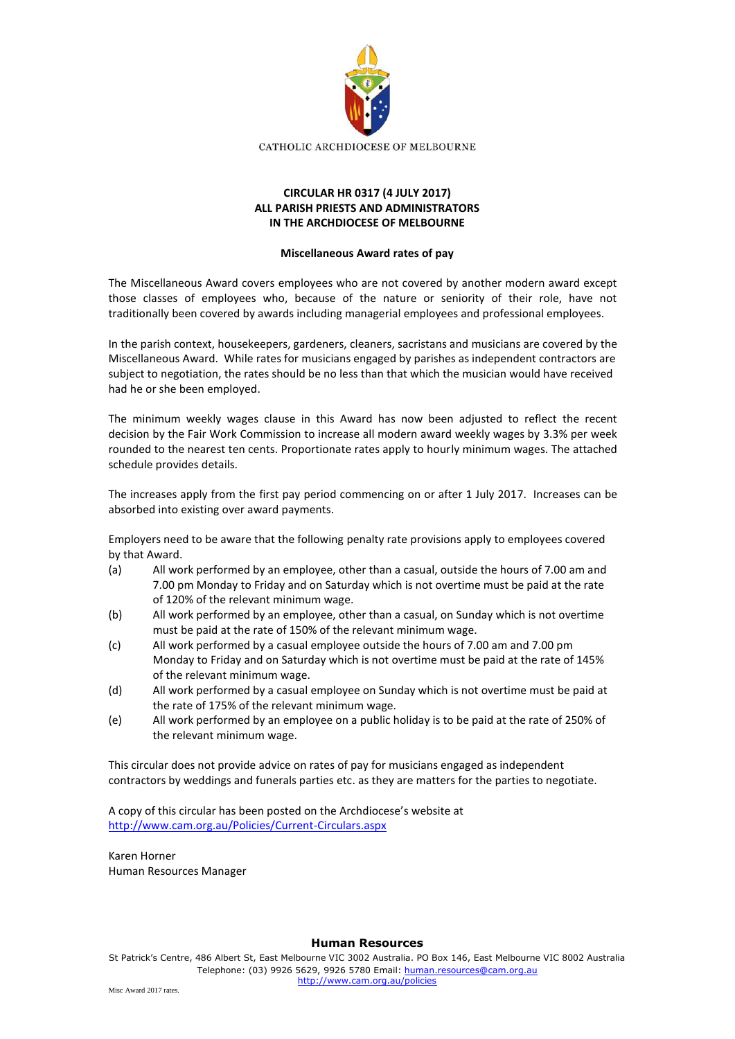

## **CIRCULAR HR 0317 (4 JULY 2017) ALL PARISH PRIESTS AND ADMINISTRATORS IN THE ARCHDIOCESE OF MELBOURNE**

## **Miscellaneous Award rates of pay**

The Miscellaneous Award covers employees who are not covered by another modern award except those classes of employees who, because of the nature or seniority of their role, have not traditionally been covered by awards including managerial employees and professional employees.

In the parish context, housekeepers, gardeners, cleaners, sacristans and musicians are covered by the Miscellaneous Award. While rates for musicians engaged by parishes as independent contractors are subject to negotiation, the rates should be no less than that which the musician would have received had he or she been employed.

The minimum weekly wages clause in this Award has now been adjusted to reflect the recent decision by the Fair Work Commission to increase all modern award weekly wages by 3.3% per week rounded to the nearest ten cents. Proportionate rates apply to hourly minimum wages. The attached schedule provides details.

The increases apply from the first pay period commencing on or after 1 July 2017. Increases can be absorbed into existing over award payments.

Employers need to be aware that the following penalty rate provisions apply to employees covered by that Award.

- (a) All work performed by an employee, other than a casual, outside the hours of 7.00 am and 7.00 pm Monday to Friday and on Saturday which is not overtime must be paid at the rate of 120% of the relevant minimum wage.
- (b) All work performed by an employee, other than a casual, on Sunday which is not overtime must be paid at the rate of 150% of the relevant minimum wage.
- (c) All work performed by a casual employee outside the hours of 7.00 am and 7.00 pm Monday to Friday and on Saturday which is not overtime must be paid at the rate of 145% of the relevant minimum wage.
- (d) All work performed by a casual employee on Sunday which is not overtime must be paid at the rate of 175% of the relevant minimum wage.
- (e) All work performed by an employee on a public holiday is to be paid at the rate of 250% of the relevant minimum wage.

This circular does not provide advice on rates of pay for musicians engaged as independent contractors by weddings and funerals parties etc. as they are matters for the parties to negotiate.

A copy of this circular has been posted on the Archdiocese's website at <http://www.cam.org.au/Policies/Current-Circulars.aspx>

Karen Horner Human Resources Manager

## **Human Resources**

St Patrick's Centre, 486 Albert St, East Melbourne VIC 3002 Australia. PO Box 146, East Melbourne VIC 8002 Australia Telephone: (03) 9926 5629, 9926 5780 Email: [human.resources@cam.org.au](mailto:human.resources@cam.org.au) <http://www.cam.org.au/policies>